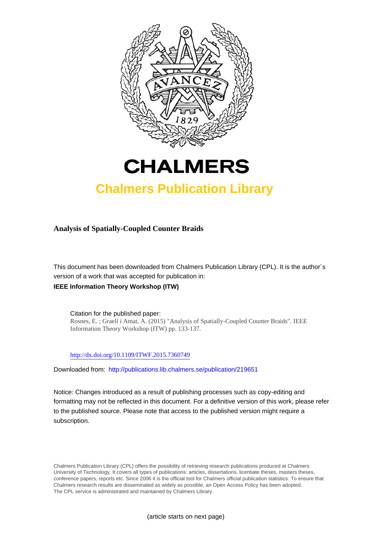



## **Chalmers Publication Library**

**Analysis of Spatially-Coupled Counter Braids**

This document has been downloaded from Chalmers Publication Library (CPL). It is the author´s version of a work that was accepted for publication in: **IEEE Information Theory Workshop (ITW)**

Citation for the published paper: Rosnes, E. ; Graell i Amat, A. (2015) "Analysis of Spatially-Coupled Counter Braids". IEEE Information Theory Workshop (ITW) pp. 133-137.

<http://dx.doi.org/10.1109/ITWF.2015.7360749>

Downloaded from: <http://publications.lib.chalmers.se/publication/219651>

Notice: Changes introduced as a result of publishing processes such as copy-editing and formatting may not be reflected in this document. For a definitive version of this work, please refer to the published source. Please note that access to the published version might require a subscription.

Chalmers Publication Library (CPL) offers the possibility of retrieving research publications produced at Chalmers University of Technology. It covers all types of publications: articles, dissertations, licentiate theses, masters theses, conference papers, reports etc. Since 2006 it is the official tool for Chalmers official publication statistics. To ensure that Chalmers research results are disseminated as widely as possible, an Open Access Policy has been adopted. The CPL service is administrated and maintained by Chalmers Library.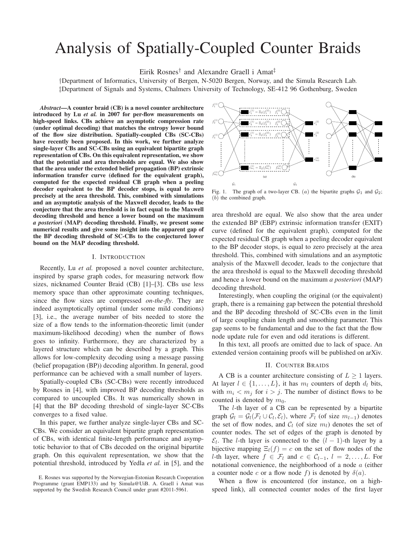# Analysis of Spatially-Coupled Counter Braids

Eirik Rosnes† and Alexandre Graell i Amat‡

†Department of Informatics, University of Bergen, N-5020 Bergen, Norway, and the Simula Research Lab. ‡Department of Signals and Systems, Chalmers University of Technology, SE-412 96 Gothenburg, Sweden

*Abstract*—A counter braid (CB) is a novel counter architecture introduced by Lu *et al.* in 2007 for per-flow measurements on high-speed links. CBs achieve an asymptotic compression rate (under optimal decoding) that matches the entropy lower bound of the flow size distribution. Spatially-coupled CBs (SC-CBs) have recently been proposed. In this work, we further analyze single-layer CBs and SC-CBs using an equivalent bipartite graph representation of CBs. On this equivalent representation, we show that the potential and area thresholds are equal. We also show that the area under the extended belief propagation (BP) extrinsic information transfer curve (defined for the equivalent graph), computed for the expected residual CB graph when a peeling decoder equivalent to the BP decoder stops, is equal to zero precisely at the area threshold. This, combined with simulations and an asymptotic analysis of the Maxwell decoder, leads to the conjecture that the area threshold is in fact equal to the Maxwell decoding threshold and hence a lower bound on the maximum *a posteriori* (MAP) decoding threshold. Finally, we present some numerical results and give some insight into the apparent gap of the BP decoding threshold of SC-CBs to the conjectured lower bound on the MAP decoding threshold.

#### I. INTRODUCTION

Recently, Lu *et al.* proposed a novel counter architecture, inspired by sparse graph codes, for measuring network flow sizes, nicknamed Counter Braid (CB) [1]–[3]. CBs use less memory space than other approximate counting techniques, since the flow sizes are compressed *on-the-fly*. They are indeed asymptotically optimal (under some mild conditions) [3], i.e., the average number of bits needed to store the size of a flow tends to the information-theoretic limit (under maximum-likelihood decoding) when the number of flows goes to infinity. Furthermore, they are characterized by a layered structure which can be described by a graph. This allows for low-complexity decoding using a message passing (belief propagation (BP)) decoding algorithm. In general, good performance can be achieved with a small number of layers.

Spatially-coupled CBs (SC-CBs) were recently introduced by Rosnes in [4], with improved BP decoding thresholds as compared to uncoupled CBs. It was numerically shown in [4] that the BP decoding threshold of single-layer SC-CBs converges to a fixed value.

In this paper, we further analyze single-layer CBs and SC-CBs. We consider an equivalent bipartite graph representation of CBs, with identical finite-length performance and asymptotic behavior to that of CBs decoded on the original bipartite graph. On this equivalent representation, we show that the potential threshold, introduced by Yedla *et al.* in [5], and the



Fig. 1. The graph of a two-layer CB. (a) the bipartite graphs  $G_1$  and  $G_2$ ; (b) the combined graph.

area threshold are equal. We also show that the area under the extended BP (EBP) extrinsic information transfer (EXIT) curve (defined for the equivalent graph), computed for the expected residual CB graph when a peeling decoder equivalent to the BP decoder stops, is equal to zero precisely at the area threshold. This, combined with simulations and an asymptotic analysis of the Maxwell decoder, leads to the conjecture that the area threshold is equal to the Maxwell decoding threshold and hence a lower bound on the maximum *a posteriori* (MAP) decoding threshold.

Interestingly, when coupling the original (or the equivalent) graph, there is a remaining gap between the potential threshold and the BP decoding threshold of SC-CBs even in the limit of large coupling chain length and smoothing parameter. This gap seems to be fundamental and due to the fact that the flow node update rule for even and odd iterations is different.

In this text, all proofs are omitted due to lack of space. An extended version containing proofs will be published on arXiv.

#### II. COUNTER BRAIDS

A CB is a counter architecture consisting of  $L \ge 1$  layers. At layer  $l \in \{1, \ldots, L\}$ , it has  $m_l$  counters of depth  $d_l$  bits, with  $m_i < m_j$  for  $i > j$ . The number of distinct flows to be counted is denoted by  $m_0$ .

The l-th layer of a CB can be represented by a bipartite graph  $G_l = G_l(\mathcal{F}_l \cup \mathcal{C}_l, \mathcal{E}_l)$ , where  $\mathcal{F}_l$  (of size  $m_{l-1}$ ) denotes the set of flow nodes, and  $C_l$  (of size  $m_l$ ) denotes the set of counter nodes. The set of edges of the graph is denoted by  $\mathcal{E}_l$ . The *l*-th layer is connected to the  $(l-1)$ -th layer by a bijective mapping  $\Xi_l(f) = c$  on the set of flow nodes of the l-th layer, where  $f \in \mathcal{F}_l$  and  $c \in \mathcal{C}_{l-1}, l = 2, \ldots, L$ . For notational convenience, the neighborhood of a node a (either a counter node c or a flow node f) is denoted by  $\delta(a)$ .

When a flow is encountered (for instance, on a highspeed link), all connected counter nodes of the first layer

E. Rosnes was supported by the Norwegian-Estonian Research Cooperation Programme (grant EMP133) and by Simula@UiB. A. Graell i Amat was supported by the Swedish Research Council under grant #2011-5961.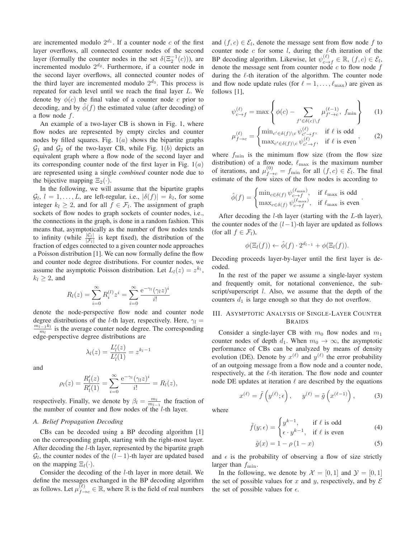are incremented modulo  $2^{d_1}$ . If a counter node c of the first layer overflows, all connected counter nodes of the second layer (formally the counter nodes in the set  $\delta(\Xi_2^{-1}(c))$ ), are incremented modulo  $2^{d_2}$ . Furthermore, if a counter node in the second layer overflows, all connected counter nodes of the third layer are incremented modulo  $2^{d_3}$ . This process is repeated for each level until we reach the final layer L. We denote by  $\phi(c)$  the final value of a counter node c prior to decoding, and by  $\phi(f)$  the estimated value (after decoding) of a flow node  $f$ .

An example of a two-layer CB is shown in Fig. 1, where flow nodes are represented by empty circles and counter nodes by filled squares. Fig.  $1(a)$  shows the bipartite graphs  $\mathcal{G}_1$  and  $\mathcal{G}_2$  of the two-layer CB, while Fig. 1(b) depicts an equivalent graph where a flow node of the second layer and its corresponding counter node of the first layer in Fig.  $1(a)$ are represented using a single *combined* counter node due to the bijective mapping  $\Xi_2(\cdot)$ .

In the following, we will assume that the bipartite graphs  $\mathcal{G}_l, l = 1, \ldots, L$ , are left-regular, i.e.,  $|\delta(f)| = k_l$ , for some integer  $k_l \geq 2$ , and for all  $f \in \mathcal{F}_l$ . The assignment of graph sockets of flow nodes to graph sockets of counter nodes, i.e., the connections in the graph, is done in a random fashion. This means that, asymptotically as the number of flow nodes tends to infinity (while  $\frac{|C_l|}{|\mathcal{F}_l|}$  is kept fixed), the distribution of the fraction of edges connected to a given counter node approaches a Poisson distribution [1]. We can now formally define the flow and counter node degree distributions. For counter nodes, we assume the asymptotic Poisson distribution. Let  $L_l(z) = z^{k_l}$ ,  $k_l \geq 2$ , and

$$
R_l(z) = \sum_{i=0}^{\infty} R_i^{(l)} z^i = \sum_{i=0}^{\infty} \frac{e^{-\gamma_l} (\gamma_l z)^i}{i!}
$$

denote the node-perspective flow node and counter node degree distributions of the *l*-th layer, respectively. Here,  $\gamma_l$  =  $\widetilde{m_{l-1}k_l}$  $\frac{u_{l-1}k_l}{m_l}$  is the average counter node degree. The corresponding edge-perspective degree distributions are

$$
\lambda_l(z) = \frac{L'_l(z)}{L'_l(1)} = z^{k_l - 1}
$$

and

$$
\rho_l(z) = \frac{R'_l(z)}{R'_l(1)} = \sum_{i=0}^{\infty} \frac{e^{-\gamma_l} (\gamma_l z)^i}{i!} = R_l(z),
$$

respectively. Finally, we denote by  $\beta_l = \frac{m_l}{m_{l-1}}$  the fraction of the number of counter and flow nodes of the  $l$ -th layer.

#### *A. Belief Propagation Decoding*

CBs can be decoded using a BP decoding algorithm [1] on the corresponding graph, starting with the right-most layer. After decoding the l-th layer, represented by the bipartite graph  $\mathcal{G}_l$ , the counter nodes of the  $(l-1)$ -th layer are updated based on the mapping  $\Xi_l(\cdot)$ .

Consider the decoding of the l-th layer in more detail. We define the messages exchanged in the BP decoding algorithm as follows. Let  $\mu_{f \to c}^{(\ell)} \in \mathbb{R}$ , where  $\mathbb R$  is the field of real numbers

and  $(f, c) \in \mathcal{E}_l$ , denote the message sent from flow node f to counter node  $c$  for some  $l$ , during the  $l$ -th iteration of the BP decoding algorithm. Likewise, let  $\psi_{c \to f}^{(\ell)} \in \mathbb{R}$ ,  $(f, c) \in \mathcal{E}_l$ , denote the message sent from counter node  $c$  to flow node  $f$ during the  $\ell$ -th iteration of the algorithm. The counter node and flow node update rules (for  $\ell = 1, \ldots, \ell_{\text{max}}$ ) are given as follows [1],

$$
\psi_{c \to f}^{(\ell)} = \max \left\{ \phi(c) - \sum_{f' \in \delta(c) \setminus f} \mu_{f' \to c}^{(\ell-1)}, f_{\min} \right\} \qquad (1)
$$

$$
\mu_{f \to c}^{(\ell)} = \begin{cases} \min_{c' \in \delta(f) \setminus c} \psi_{c' \to f}^{(\ell)}, & \text{if } \ell \text{ is odd} \\ \max_{c' \in \delta(f) \setminus c} \psi_{c' \to f}^{(\ell)}, & \text{if } \ell \text{ is even} \end{cases}
$$
 (2)

where  $f_{\text{min}}$  is the minimum flow size (from the flow size distribution) of a flow node,  $\ell_{\text{max}}$  is the maximum number of iterations, and  $\mu_{f \to c}^{(0)} = f_{\min}$  for all  $(f, c) \in \mathcal{E}_l$ . The final estimate of the flow sizes of the flow nodes is according to

$$
\hat{\phi}(f) = \begin{cases} \min_{c \in \delta(f)} \psi_{c \to f}^{(\ell_{\text{max}})}, & \text{if } \ell_{\text{max}} \text{ is odd} \\ \max_{c \in \delta(f)} \psi_{c \to f}^{(\ell_{\text{max}})}, & \text{if } \ell_{\text{max}} \text{ is even} \end{cases}
$$

.

After decoding the  $l$ -th layer (starting with the  $L$ -th layer), the counter nodes of the  $(l-1)$ -th layer are updated as follows (for all  $f \in \mathcal{F}_l$ ),

$$
\phi(\Xi_l(f)) \leftarrow \hat{\phi}(f) \cdot 2^{d_{l-1}} + \phi(\Xi_l(f)).
$$

Decoding proceeds layer-by-layer until the first layer is decoded.

In the rest of the paper we assume a single-layer system and frequently omit, for notational convenience, the subscript/superscript *l*. Also, we assume that the depth of the counters  $d_1$  is large enough so that they do not overflow.

### III. ASYMPTOTIC ANALYSIS OF SINGLE-LAYER COUNTER BRAIDS

Consider a single-layer CB with  $m_0$  flow nodes and  $m_1$ counter nodes of depth  $d_1$ . When  $m_0 \rightarrow \infty$ , the asymptotic performance of CBs can be analyzed by means of density evolution (DE). Denote by  $x^{(\ell)}$  and  $y^{(\ell)}$  the error probability of an outgoing message from a flow node and a counter node, respectively, at the  $\ell$ -th iteration. The flow node and counter node DE updates at iteration  $\ell$  are described by the equations

$$
x^{(\ell)} = \tilde{f}\left(y^{(\ell)}; \epsilon\right), \quad y^{(\ell)} = \tilde{g}\left(x^{(\ell-1)}\right), \quad (3)
$$

where

$$
\tilde{f}(y; \epsilon) = \begin{cases} y^{k-1}, & \text{if } \ell \text{ is odd} \\ \epsilon \cdot y^{k-1}, & \text{if } \ell \text{ is even} \end{cases}
$$
(4)

$$
\tilde{g}(x) = 1 - \rho(1 - x) \tag{5}
$$

and  $\epsilon$  is the probability of observing a flow of size strictly larger than  $f_{\min}$ .

In the following, we denote by  $\mathcal{X} = [0, 1]$  and  $\mathcal{Y} = [0, 1]$ the set of possible values for x and y, respectively, and by  $\mathcal E$ the set of possible values for  $\epsilon$ .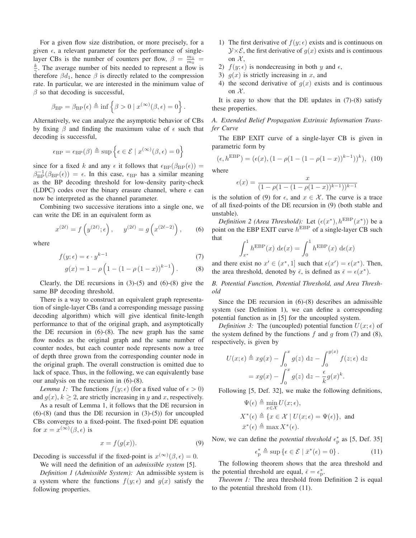For a given flow size distribution, or more precisely, for a given  $\epsilon$ , a relevant parameter for the performance of singlelayer CBs is the number of counters per flow,  $\beta = \frac{m_1}{m_0}$  $\frac{k}{\gamma}$ . The average number of bits needed to represent a flow is therefore  $\beta d_1$ , hence  $\beta$  is directly related to the compression rate. In particular, we are interested in the minimum value of  $\beta$  so that decoding is successful,

$$
\beta_{\mathrm{BP}} = \beta_{\mathrm{BP}}(\epsilon) \triangleq \inf \left\{ \beta > 0 \mid x^{(\infty)}(\beta, \epsilon) = 0 \right\}.
$$

Alternatively, we can analyze the asymptotic behavior of CBs by fixing  $\beta$  and finding the maximum value of  $\epsilon$  such that decoding is successful,

$$
\epsilon_{\mathrm{BP}} = \epsilon_{\mathrm{BP}}(\beta) \triangleq \sup \left\{ \epsilon \in \mathcal{E} \mid x^{(\infty)}(\beta, \epsilon) = 0 \right\}
$$

since for a fixed k and any  $\epsilon$  it follows that  $\epsilon_{\rm BP}(\beta_{\rm BP}(\epsilon))$  =  $\beta_{\rm BP}^{-1}(\beta_{\rm BP}(\epsilon)) = \epsilon$ . In this case,  $\epsilon_{\rm BP}$  has a similar meaning as the BP decoding threshold for low-density parity-check (LDPC) codes over the binary erasure channel, where  $\epsilon$  can now be interpreted as the channel parameter.

Combining two successive iterations into a single one, we can write the DE in an equivalent form as

$$
x^{(2\ell)} = f\left(y^{(2\ell)}; \epsilon\right), \quad y^{(2\ell)} = g\left(x^{(2\ell-2)}\right), \quad (6)
$$

where

$$
f(y; \epsilon) = \epsilon \cdot y^{k-1} \tag{7}
$$

$$
g(x) = 1 - \rho \left( 1 - (1 - \rho (1 - x))^{k-1} \right). \tag{8}
$$

Clearly, the DE recursions in  $(3)-(5)$  and  $(6)-(8)$  give the same BP decoding threshold.

There is a way to construct an equivalent graph representation of single-layer CBs (and a corresponding message passing decoding algorithm) which will give identical finite-length performance to that of the original graph, and asymptotically the DE recursion in  $(6)-(8)$ . The new graph has the same flow nodes as the original graph and the same number of counter nodes, but each counter node represents now a tree of depth three grown from the corresponding counter node in the original graph. The overall construction is omitted due to lack of space. Thus, in the following, we can equivalently base our analysis on the recursion in (6)-(8).

*Lemma 1:* The functions  $f(y; \epsilon)$  (for a fixed value of  $\epsilon > 0$ ) and  $g(x)$ ,  $k \ge 2$ , are strictly increasing in y and x, respectively.

As a result of Lemma 1, it follows that the DE recursion in  $(6)-(8)$  (and thus the DE recursion in  $(3)-(5)$ ) for uncoupled CBs converges to a fixed-point. The fixed-point DE equation for  $x = x^{(\infty)}(\beta, \epsilon)$  is

$$
x = f(g(x)).\tag{9}
$$

Decoding is successful if the fixed-point is  $x^{(\infty)}(\beta, \epsilon) = 0$ .

We will need the definition of an *admissible system* [5].

*Definition 1 (Admissible System):* An admissible system is a system where the functions  $f(y; \epsilon)$  and  $g(x)$  satisfy the following properties.

- 1) The first derivative of  $f(y; \epsilon)$  exists and is continuous on  $\mathcal{Y} \times \mathcal{E}$ , the first derivative of  $g(x)$  exists and is continuous on  $\mathcal{X},$
- 2)  $f(y; \epsilon)$  is nondecreasing in both y and  $\epsilon$ ,
- 3)  $g(x)$  is strictly increasing in x, and
- 4) the second derivative of  $g(x)$  exists and is continuous on  $\mathcal{X}$ .

It is easy to show that the DE updates in  $(7)-(8)$  satisfy these properties.

*A. Extended Belief Propagation Extrinsic Information Transfer Curve*

The EBP EXIT curve of a single-layer CB is given in parametric form by

$$
(\epsilon, h^{\text{EBP}}) = (\epsilon(x), (1 - \rho(1 - (1 - \rho(1 - x))^{k-1}))^k), (10)
$$

where

$$
\epsilon(x) = \frac{x}{(1 - \rho(1 - (1 - \rho(1 - x))^{k-1}))^{k-1}}
$$

is the solution of (9) for  $\epsilon$ , and  $x \in \mathcal{X}$ . The curve is a trace of all fixed-points of the DE recursion in (9) (both stable and unstable).

*Definition 2 (Area Threshold)*: Let  $(\epsilon(x^*), h^{\text{EBP}}(x^*))$  be a point on the EBP EXIT curve  $h^{\text{EBP}}$  of a single-layer CB such that

$$
\int_{x^*}^1 h^{\text{EBP}}(x) d\epsilon(x) = \int_0^1 h^{\text{EBP}}(x) d\epsilon(x)
$$

and there exist no  $x' \in (x^*, 1]$  such that  $\epsilon(x') = \epsilon(x^*)$ . Then, the area threshold, denoted by  $\bar{\epsilon}$ , is defined as  $\bar{\epsilon} = \epsilon(x^*)$ .

*B. Potential Function, Potential Threshold, and Area Threshold*

Since the DE recursion in (6)-(8) describes an admissible system (see Definition 1), we can define a corresponding potential function as in [5] for the uncoupled system.

*Definition 3:* The (uncoupled) potential function  $U(x; \epsilon)$  of the system defined by the functions  $f$  and  $g$  from (7) and (8), respectively, is given by

$$
U(x; \epsilon) \triangleq xg(x) - \int_0^x g(z) dz - \int_0^{g(x)} f(z; \epsilon) dz
$$
  
=  $xg(x) - \int_0^x g(z) dz - \frac{\epsilon}{k} g(x)^k$ .

Following [5, Def. 32], we make the following definitions,

$$
\Psi(\epsilon) \triangleq \min_{x \in \mathcal{X}} U(x; \epsilon),
$$
\n
$$
X^*(\epsilon) \triangleq \{x \in \mathcal{X} \mid U(x; \epsilon) = \Psi(\epsilon)\},
$$
\nand\n
$$
\bar{x}^*(\epsilon) \triangleq \max X^*(\epsilon).
$$

Now, we can define the *potential threshold*  $\epsilon_p^*$  as [5, Def. 35]

$$
\epsilon_p^* \triangleq \sup \{ \epsilon \in \mathcal{E} \mid \bar{x}^*(\epsilon) = 0 \} \,. \tag{11}
$$

The following theorem shows that the area threshold and the potential threshold are equal,  $\bar{\epsilon} = \epsilon_p^*$ .

*Theorem 1:* The area threshold from Definition 2 is equal to the potential threshold from (11).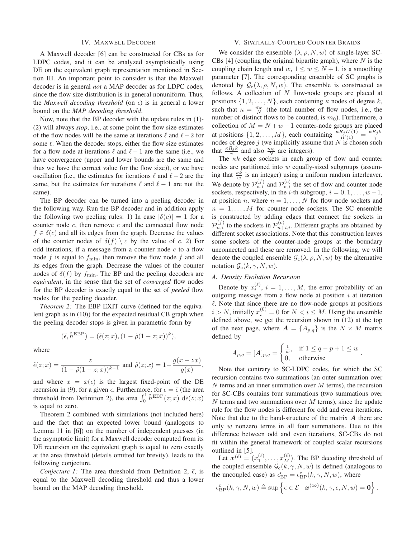#### IV. MAXWELL DECODER

A Maxwell decoder [6] can be constructed for CBs as for LDPC codes, and it can be analyzed asymptotically using DE on the equivalent graph representation mentioned in Section III. An important point to consider is that the Maxwell decoder is in general *not* a MAP decoder as for LDPC codes, since the flow size distribution is in general nonuniform. Thus, the *Maxwell decoding threshold* (on  $\epsilon$ ) is in general a lower bound on the *MAP decoding threshold*.

Now, note that the BP decoder with the update rules in (1)- (2) will always *stop*, i.e., at some point the flow size estimates of the flow nodes will be the same at iterations  $\ell$  and  $\ell-2$  for some  $\ell$ . When the decoder stops, either the flow size estimates for a flow node at iterations  $\ell$  and  $\ell - 1$  are the same (i.e., we have convergence (upper and lower bounds are the same and thus we have the correct value for the flow size)), or we have oscillation (i.e., the estimates for iterations  $\ell$  and  $\ell-2$  are the same, but the estimates for iterations  $\ell$  and  $\ell - 1$  are not the same).

The BP decoder can be turned into a peeling decoder in the following way. Run the BP decoder and in addition apply the following two peeling rules: 1) In case  $|\delta(c)| = 1$  for a counter node  $c$ , then remove  $c$  and the connected flow node  $f \in \delta(c)$  and all its edges from the graph. Decrease the values of the counter nodes of  $\delta(f) \setminus c$  by the value of c. 2) For odd iterations, if a message from a counter node  $c$  to a flow node f is equal to  $f_{\min}$ , then remove the flow node f and all its edges from the graph. Decrease the values of the counter nodes of  $\delta(f)$  by  $f_{\text{min}}$ . The BP and the peeling decoders are *equivalent*, in the sense that the set of *converged* flow nodes for the BP decoder is exactly equal to the set of *peeled* flow nodes for the peeling decoder.

*Theorem 2:* The EBP EXIT curve (defined for the equivalent graph as in (10)) for the expected residual CB graph when the peeling decoder stops is given in parametric form by

$$
(\tilde{\epsilon}, \tilde{h}^{\text{EBP}}) = (\tilde{\epsilon}(z; x), (1 - \tilde{\rho}(1 - z; x))^k),
$$

where

$$
\tilde{\epsilon}(z; x) = \frac{z}{(1 - \tilde{\rho}(1 - z; x))^{k-1}} \text{ and } \tilde{\rho}(z; x) = 1 - \frac{g(x - zx)}{g(x)}
$$

and where  $x = x(\epsilon)$  is the largest fixed-point of the DE recursion in (9), for a given  $\epsilon$ . Furthermore, for  $\epsilon = \bar{\epsilon}$  (the area threshold from Definition 2), the area  $\int_0^1 \tilde{h}^{\text{EBP}}(z; x) d\tilde{\epsilon}(z; x)$ is equal to zero.

Theorem 2 combined with simulations (not included here) and the fact that an expected lower bound (analogous to Lemma 11 in [6]) on the number of independent guesses (in the asymptotic limit) for a Maxwell decoder computed from its DE recursion on the equivalent graph is equal to zero exactly at the area threshold (details omitted for brevity), leads to the following conjecture.

*Conjecture 1:* The area threshold from Definition 2,  $\bar{\epsilon}$ , is equal to the Maxwell decoding threshold and thus a lower bound on the MAP decoding threshold.

#### V. SPATIALLY-COUPLED COUNTER BRAIDS

We consider the ensemble  $(\lambda, \rho, N, w)$  of single-layer SC-CBs [4] (coupling the original bipartite graph), where  $N$  is the coupling chain length and w,  $1 \leq w \leq N+1$ , is a smoothing parameter [7]. The corresponding ensemble of SC graphs is denoted by  $\mathcal{G}_{c}(\lambda, \rho, N, w)$ . The ensemble is constructed as follows. A collection of  $N$  flow-node groups are placed at positions  $\{1, 2, \ldots, N\}$ , each containing  $\kappa$  nodes of degree  $k$ , such that  $\kappa = \frac{m_0}{N}$  (the total number of flow nodes, i.e., the number of distinct flows to be counted, is  $m_0$ ). Furthermore, a collection of  $M = N + w - 1$  counter-node groups are placed at positions  $\{1, 2, ..., M\}$ , each containing  $\frac{\kappa R_j L'(1)}{R'(1)} = \frac{\kappa R_j k}{\gamma}$ nodes of degree j (we implicitly assume that  $N$  is chosen such that  $\frac{\kappa R_j k}{\gamma}$  and also  $\frac{m_0}{N}$  are integers).

The  $\kappa k$  edge sockets in each group of flow and counter nodes are partitioned into  $w$  equally-sized subgroups (assuming that  $\frac{\kappa k}{w}$  is an integer) using a uniform random interleaver. We denote by  $\mathcal{P}_{n,i}^{(f)}$  and  $\mathcal{P}_{n,i}^{(c)}$  the set of flow and counter node sockets, respectively, in the *i*-th subgroup,  $i = 0, 1, \dots, w-1$ , at position *n*, where  $n = 1, \ldots, N$  for flow node sockets and  $n = 1, \ldots, M$  for counter node sockets. The SC ensemble is constructed by adding edges that connect the sockets in  $\mathcal{P}_{n,i}^{(f)}$  to the sockets in  $\mathcal{P}_{n+i,i}^{(c)}$ . Different graphs are obtained by different socket associations. Note that this construction leaves some sockets of the counter-node groups at the boundary unconnected and these are removed. In the following, we will denote the coupled ensemble  $\mathcal{G}_{c}(\lambda, \rho, N, w)$  by the alternative notation  $\mathcal{G}_c(k, \gamma, N, w)$ .

## *A. Density Evolution Recursion*

,

Denote by  $x_i^{(\ell)}$ ,  $i = 1, ..., M$ , the error probability of an outgoing message from a flow node at position  $i$  at iteration  $\ell$ . Note that since there are no flow-node groups at positions  $i > N$ , initially  $x_i^{(0)} = 0$  for  $N < i \leq M$ . Using the ensemble defined above, we get the recursion shown in (12) at the top of the next page, where  $A = \{A_{p,q}\}\$ is the  $N \times M$  matrix defined by

$$
A_{p,q} = [A]_{p,q} = \begin{cases} \frac{1}{w}, & \text{if } 1 \le q - p + 1 \le w \\ 0, & \text{otherwise} \end{cases}.
$$

Note that contrary to SC-LDPC codes, for which the SC recursion contains two summations (an outer summation over  $N$  terms and an inner summation over  $M$  terms), the recursion for SC-CBs contains four summations (two summations over  $N$  terms and two summations over  $M$  terms), since the update rule for the flow nodes is different for odd and even iterations. Note that due to the band-structure of the matrix  $A$  there are only  $w$  nonzero terms in all four summations. Due to this difference between odd and even iterations, SC-CBs do not fit within the general framework of coupled scalar recursions outlined in [5].

Let  $\mathbf{x}^{(\ell)} = (x_1^{(\ell)}, \dots, x_M^{(\ell)})$ . The BP decoding threshold of the coupled ensemble  $\mathcal{G}_c(\vec{k}, \gamma, N, w)$  is defined (analogous to the uncoupled case) as  $\epsilon_{\text{BP}}^{\text{c}} = \epsilon_{\text{BP}}^{\text{c}}(k, \gamma, N, w)$ , where

$$
\epsilon_{\mathrm{BP}}^{\mathrm{c}}(k,\gamma,N,w) \triangleq \sup \left\{ \epsilon \in \mathcal{E} \mid \boldsymbol{x}^{(\infty)}(k,\gamma,\epsilon,N,w) = \mathbf{0} \right\}.
$$